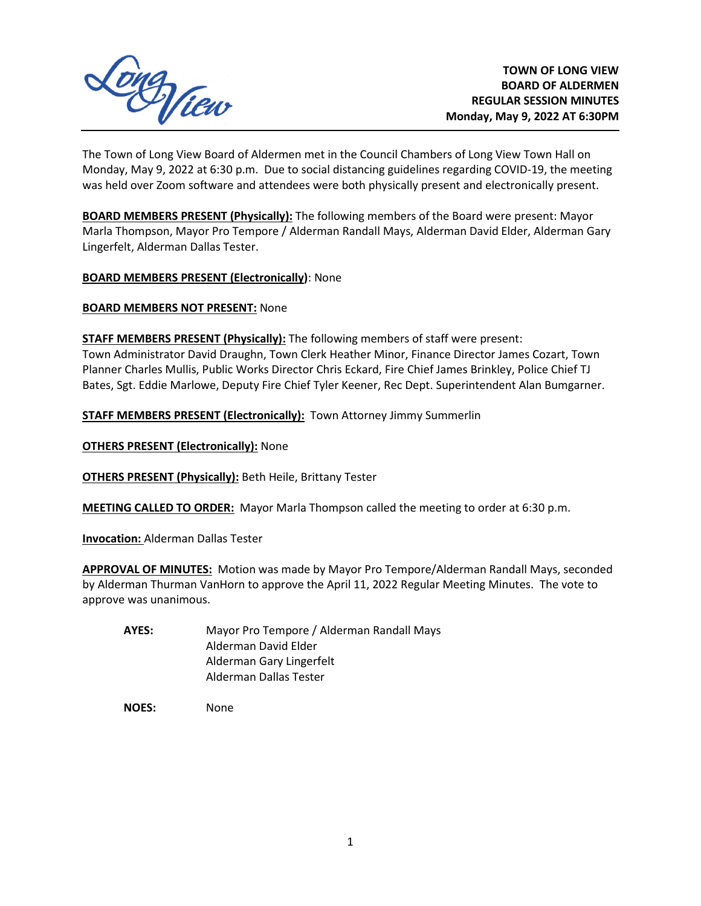

The Town of Long View Board of Aldermen met in the Council Chambers of Long View Town Hall on Monday, May 9, 2022 at 6:30 p.m. Due to social distancing guidelines regarding COVID-19, the meeting was held over Zoom software and attendees were both physically present and electronically present.

**BOARD MEMBERS PRESENT (Physically):** The following members of the Board were present: Mayor Marla Thompson, Mayor Pro Tempore / Alderman Randall Mays, Alderman David Elder, Alderman Gary Lingerfelt, Alderman Dallas Tester.

**BOARD MEMBERS PRESENT (Electronically)**: None

**BOARD MEMBERS NOT PRESENT:** None

**STAFF MEMBERS PRESENT (Physically):** The following members of staff were present: Town Administrator David Draughn, Town Clerk Heather Minor, Finance Director James Cozart, Town Planner Charles Mullis, Public Works Director Chris Eckard, Fire Chief James Brinkley, Police Chief TJ Bates, Sgt. Eddie Marlowe, Deputy Fire Chief Tyler Keener, Rec Dept. Superintendent Alan Bumgarner.

**STAFF MEMBERS PRESENT (Electronically):** Town Attorney Jimmy Summerlin

**OTHERS PRESENT (Electronically): None** 

**OTHERS PRESENT (Physically):** Beth Heile, Brittany Tester

**MEETING CALLED TO ORDER:** Mayor Marla Thompson called the meeting to order at 6:30 p.m.

**Invocation:** Alderman Dallas Tester

**APPROVAL OF MINUTES:** Motion was made by Mayor Pro Tempore/Alderman Randall Mays, seconded by Alderman Thurman VanHorn to approve the April 11, 2022 Regular Meeting Minutes. The vote to approve was unanimous.

- **AYES:** Mayor Pro Tempore / Alderman Randall Mays Alderman David Elder Alderman Gary Lingerfelt Alderman Dallas Tester
- **NOES:** None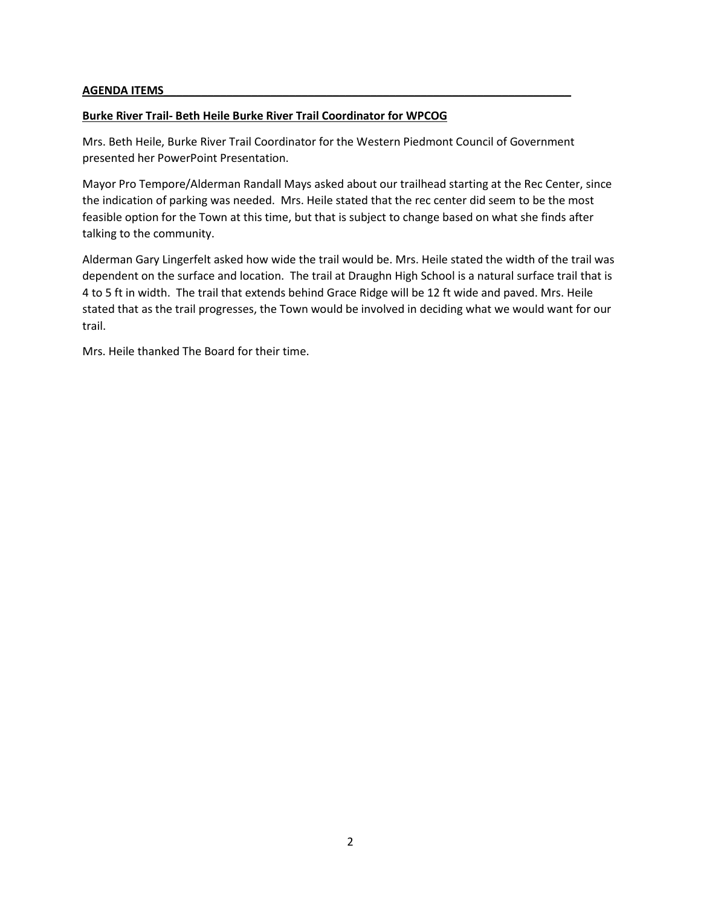#### **AGENDA ITEMS\_\_\_\_\_\_\_\_\_\_\_\_\_\_\_\_\_\_\_\_\_\_\_\_\_\_\_\_\_\_\_\_\_\_\_\_\_\_\_\_\_\_\_\_\_\_\_\_\_\_\_\_\_\_\_\_\_\_\_\_\_\_\_\_\_**

### **Burke River Trail- Beth Heile Burke River Trail Coordinator for WPCOG**

Mrs. Beth Heile, Burke River Trail Coordinator for the Western Piedmont Council of Government presented her PowerPoint Presentation.

Mayor Pro Tempore/Alderman Randall Mays asked about our trailhead starting at the Rec Center, since the indication of parking was needed. Mrs. Heile stated that the rec center did seem to be the most feasible option for the Town at this time, but that is subject to change based on what she finds after talking to the community.

Alderman Gary Lingerfelt asked how wide the trail would be. Mrs. Heile stated the width of the trail was dependent on the surface and location. The trail at Draughn High School is a natural surface trail that is 4 to 5 ft in width. The trail that extends behind Grace Ridge will be 12 ft wide and paved. Mrs. Heile stated that as the trail progresses, the Town would be involved in deciding what we would want for our trail.

Mrs. Heile thanked The Board for their time.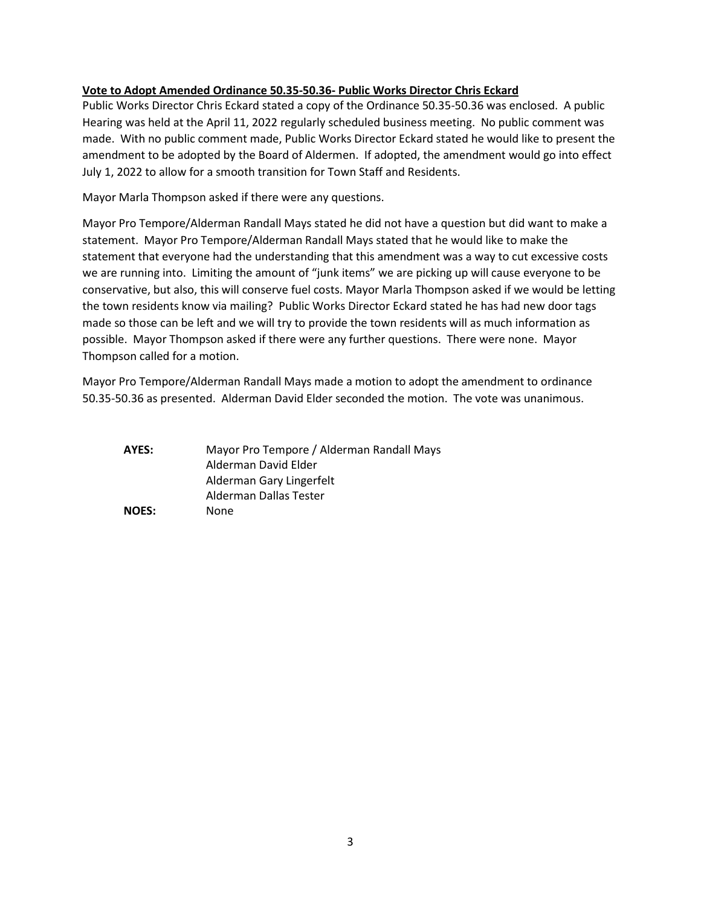#### **Vote to Adopt Amended Ordinance 50.35-50.36- Public Works Director Chris Eckard**

Public Works Director Chris Eckard stated a copy of the Ordinance 50.35-50.36 was enclosed. A public Hearing was held at the April 11, 2022 regularly scheduled business meeting. No public comment was made. With no public comment made, Public Works Director Eckard stated he would like to present the amendment to be adopted by the Board of Aldermen. If adopted, the amendment would go into effect July 1, 2022 to allow for a smooth transition for Town Staff and Residents.

Mayor Marla Thompson asked if there were any questions.

Mayor Pro Tempore/Alderman Randall Mays stated he did not have a question but did want to make a statement. Mayor Pro Tempore/Alderman Randall Mays stated that he would like to make the statement that everyone had the understanding that this amendment was a way to cut excessive costs we are running into. Limiting the amount of "junk items" we are picking up will cause everyone to be conservative, but also, this will conserve fuel costs. Mayor Marla Thompson asked if we would be letting the town residents know via mailing? Public Works Director Eckard stated he has had new door tags made so those can be left and we will try to provide the town residents will as much information as possible. Mayor Thompson asked if there were any further questions. There were none. Mayor Thompson called for a motion.

Mayor Pro Tempore/Alderman Randall Mays made a motion to adopt the amendment to ordinance 50.35-50.36 as presented. Alderman David Elder seconded the motion. The vote was unanimous.

| AYES:        | Mayor Pro Tempore / Alderman Randall Mays |
|--------------|-------------------------------------------|
|              | Alderman David Elder                      |
|              | Alderman Gary Lingerfelt                  |
|              | Alderman Dallas Tester                    |
| <b>NOES:</b> | None                                      |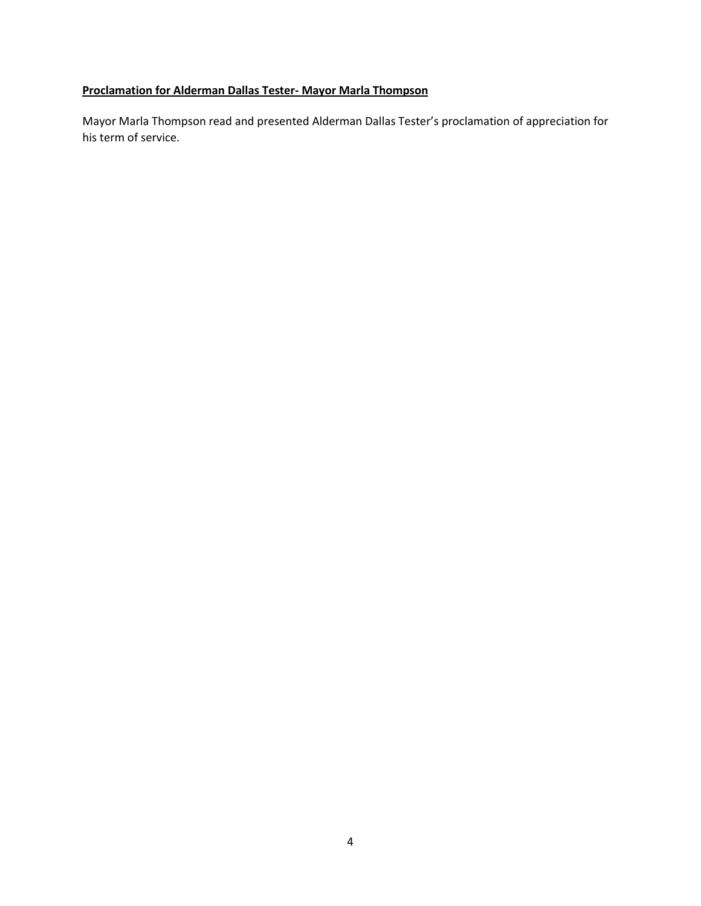# **Proclamation for Alderman Dallas Tester- Mayor Marla Thompson**

Mayor Marla Thompson read and presented Alderman Dallas Tester's proclamation of appreciation for his term of service.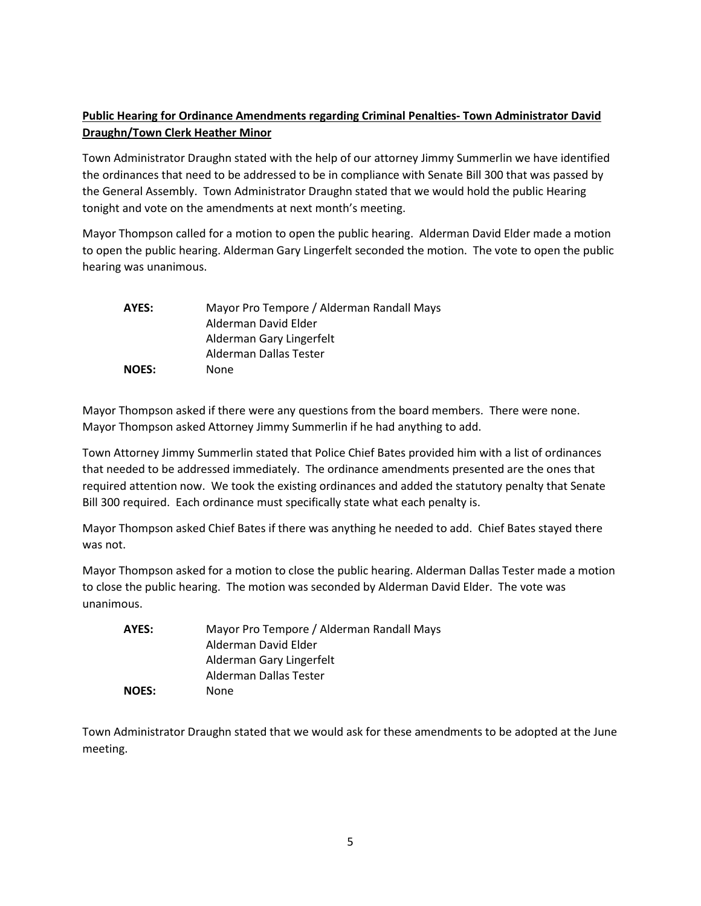# **Public Hearing for Ordinance Amendments regarding Criminal Penalties- Town Administrator David Draughn/Town Clerk Heather Minor**

Town Administrator Draughn stated with the help of our attorney Jimmy Summerlin we have identified the ordinances that need to be addressed to be in compliance with Senate Bill 300 that was passed by the General Assembly. Town Administrator Draughn stated that we would hold the public Hearing tonight and vote on the amendments at next month's meeting.

Mayor Thompson called for a motion to open the public hearing. Alderman David Elder made a motion to open the public hearing. Alderman Gary Lingerfelt seconded the motion. The vote to open the public hearing was unanimous.

| AYES:        | Mayor Pro Tempore / Alderman Randall Mays |
|--------------|-------------------------------------------|
|              | Alderman David Elder                      |
|              | Alderman Gary Lingerfelt                  |
|              | Alderman Dallas Tester                    |
| <b>NOES:</b> | None                                      |

Mayor Thompson asked if there were any questions from the board members. There were none. Mayor Thompson asked Attorney Jimmy Summerlin if he had anything to add.

Town Attorney Jimmy Summerlin stated that Police Chief Bates provided him with a list of ordinances that needed to be addressed immediately. The ordinance amendments presented are the ones that required attention now. We took the existing ordinances and added the statutory penalty that Senate Bill 300 required. Each ordinance must specifically state what each penalty is.

Mayor Thompson asked Chief Bates if there was anything he needed to add. Chief Bates stayed there was not.

Mayor Thompson asked for a motion to close the public hearing. Alderman Dallas Tester made a motion to close the public hearing. The motion was seconded by Alderman David Elder. The vote was unanimous.

| AYES:        | Mayor Pro Tempore / Alderman Randall Mays |
|--------------|-------------------------------------------|
|              | Alderman David Elder                      |
|              | Alderman Gary Lingerfelt                  |
|              | Alderman Dallas Tester                    |
| <b>NOES:</b> | None                                      |

Town Administrator Draughn stated that we would ask for these amendments to be adopted at the June meeting.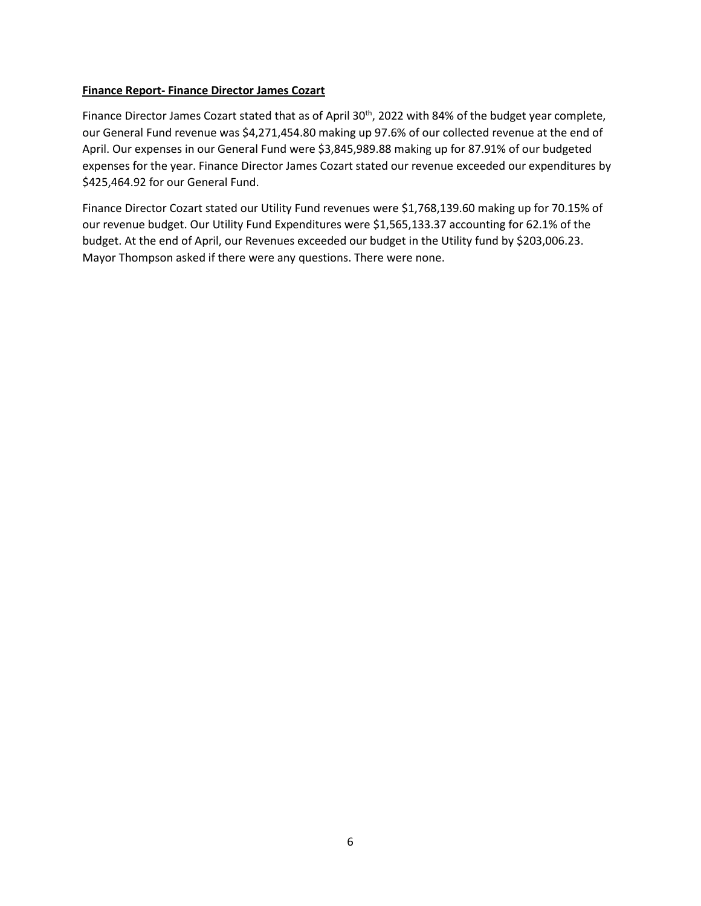#### **Finance Report- Finance Director James Cozart**

Finance Director James Cozart stated that as of April 30<sup>th</sup>, 2022 with 84% of the budget year complete, our General Fund revenue was \$4,271,454.80 making up 97.6% of our collected revenue at the end of April. Our expenses in our General Fund were \$3,845,989.88 making up for 87.91% of our budgeted expenses for the year. Finance Director James Cozart stated our revenue exceeded our expenditures by \$425,464.92 for our General Fund.

Finance Director Cozart stated our Utility Fund revenues were \$1,768,139.60 making up for 70.15% of our revenue budget. Our Utility Fund Expenditures were \$1,565,133.37 accounting for 62.1% of the budget. At the end of April, our Revenues exceeded our budget in the Utility fund by \$203,006.23. Mayor Thompson asked if there were any questions. There were none.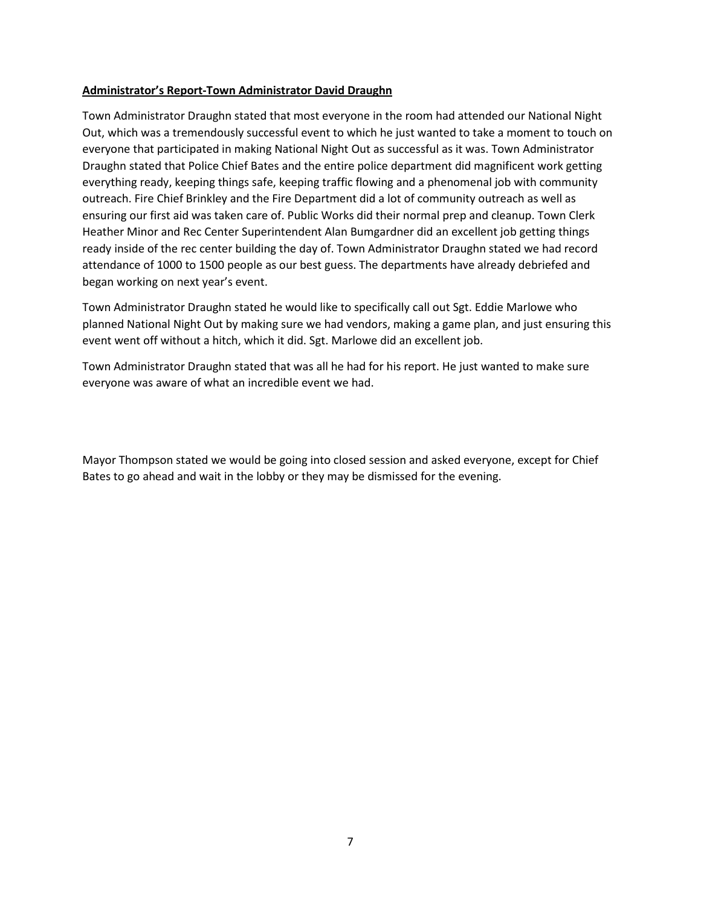#### **Administrator's Report-Town Administrator David Draughn**

Town Administrator Draughn stated that most everyone in the room had attended our National Night Out, which was a tremendously successful event to which he just wanted to take a moment to touch on everyone that participated in making National Night Out as successful as it was. Town Administrator Draughn stated that Police Chief Bates and the entire police department did magnificent work getting everything ready, keeping things safe, keeping traffic flowing and a phenomenal job with community outreach. Fire Chief Brinkley and the Fire Department did a lot of community outreach as well as ensuring our first aid was taken care of. Public Works did their normal prep and cleanup. Town Clerk Heather Minor and Rec Center Superintendent Alan Bumgardner did an excellent job getting things ready inside of the rec center building the day of. Town Administrator Draughn stated we had record attendance of 1000 to 1500 people as our best guess. The departments have already debriefed and began working on next year's event.

Town Administrator Draughn stated he would like to specifically call out Sgt. Eddie Marlowe who planned National Night Out by making sure we had vendors, making a game plan, and just ensuring this event went off without a hitch, which it did. Sgt. Marlowe did an excellent job.

Town Administrator Draughn stated that was all he had for his report. He just wanted to make sure everyone was aware of what an incredible event we had.

Mayor Thompson stated we would be going into closed session and asked everyone, except for Chief Bates to go ahead and wait in the lobby or they may be dismissed for the evening.